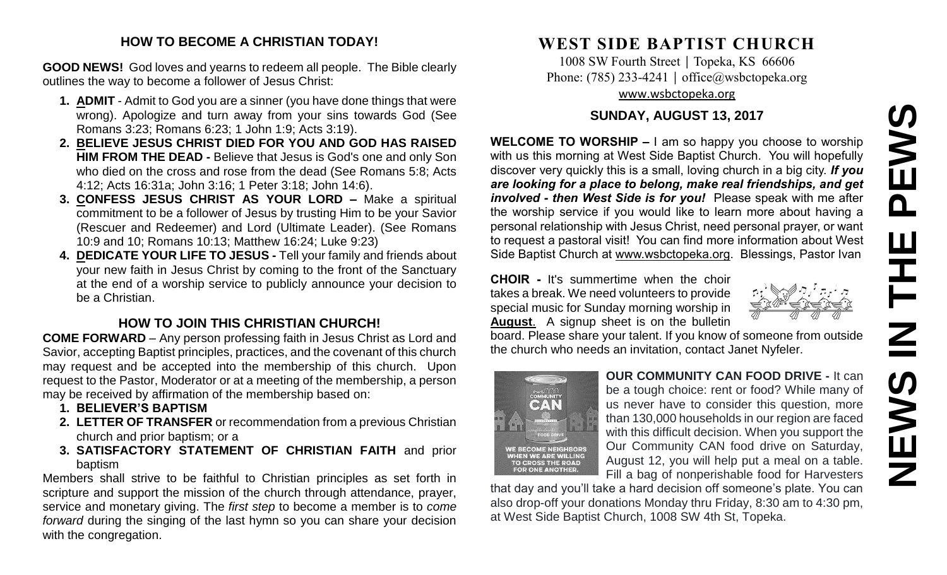# **NEWS IN THE PEWS**PEWS Ш  $\overline{z}$ **SWEN**

### **HOW TO BECOME A CHRISTIAN TODAY!**

**GOOD NEWS!** God loves and yearns to redeem all people. The Bible clearly outlines the way to become a follower of Jesus Christ:

- **1. ADMIT** Admit to God you are a sinner (you have done things that were wrong). Apologize and turn away from your sins towards God (See Romans 3:23; Romans 6:23; 1 John 1:9; Acts 3:19).
- **2. BELIEVE JESUS CHRIST DIED FOR YOU AND GOD HAS RAISED HIM FROM THE DEAD -** Believe that Jesus is God's one and only Son who died on the cross and rose from the dead (See Romans 5:8; Acts 4:12; Acts 16:31a; John 3:16; 1 Peter 3:18; John 14:6).
- **3. CONFESS JESUS CHRIST AS YOUR LORD –** Make a spiritual commitment to be a follower of Jesus by trusting Him to be your Savior (Rescuer and Redeemer) and Lord (Ultimate Leader). (See Romans 10:9 and 10; Romans 10:13; Matthew 16:24; Luke 9:23)
- **4. DEDICATE YOUR LIFE TO JESUS -** Tell your family and friends about your new faith in Jesus Christ by coming to the front of the Sanctuary at the end of a worship service to publicly announce your decision to be a Christian.

# **HOW TO JOIN THIS CHRISTIAN CHURCH!**

**COME FORWARD** – Any person professing faith in Jesus Christ as Lord and Savior, accepting Baptist principles, practices, and the covenant of this church may request and be accepted into the membership of this church. Upon request to the Pastor, Moderator or at a meeting of the membership, a person may be received by affirmation of the membership based on:

- **1. BELIEVER'S BAPTISM**
- **2. LETTER OF TRANSFER** or recommendation from a previous Christian church and prior baptism; or a
- **3. SATISFACTORY STATEMENT OF CHRISTIAN FAITH** and prior baptism

Members shall strive to be faithful to Christian principles as set forth in scripture and support the mission of the church through attendance, prayer, service and monetary giving. The *first step* to become a member is to *come forward* during the singing of the last hymn so you can share your decision with the congregation.

# **WEST SIDE BAPTIST CHURCH**

1008 SW Fourth Street | Topeka, KS 66606 Phone: (785) 233-4241 │ [office@wsbctopeka.org](mailto:office@wsbctopeka.org) [www.wsbctopeka.org](http://www.wsbctopeka.org/)

## **SUNDAY, AUGUST 13, 2017**

**WELCOME TO WORSHIP –** I am so happy you choose to worship with us this morning at West Side Baptist Church. You will hopefully discover very quickly this is a small, loving church in a big city. *If you are looking for a place to belong, make real friendships, and get involved - then West Side is for you!* Please speak with me after the worship service if you would like to learn more about having a personal relationship with Jesus Christ, need personal prayer, or want to request a pastoral visit! You can find more information about West Side Baptist Church at [www.wsbctopeka.org.](http://www.wsbctopeka.org/) Blessings, Pastor Ivan

**CHOIR -** It's summertime when the choir takes a break. We need volunteers to provide special music for Sunday morning worship in **August**. A signup sheet is on the bulletin

board. Please share your talent. If you know of someone from outside the church who needs an invitation, contact Janet Nyfeler.



**OUR COMMUNITY CAN FOOD DRIVE -** It can be a tough choice: rent or food? While many of us never have to consider this question, more than 130,000 households in our region are faced with this difficult decision. When you support the Our Community CAN food drive on Saturday, August 12, you will help put a meal on a table. Fill a bag of nonperishable food for Harvesters

that day and you'll take a hard decision off someone's plate. You can also drop-off your donations Monday thru Friday, 8:30 am to 4:30 pm, at West Side Baptist Church, 1008 SW 4th St, Topeka.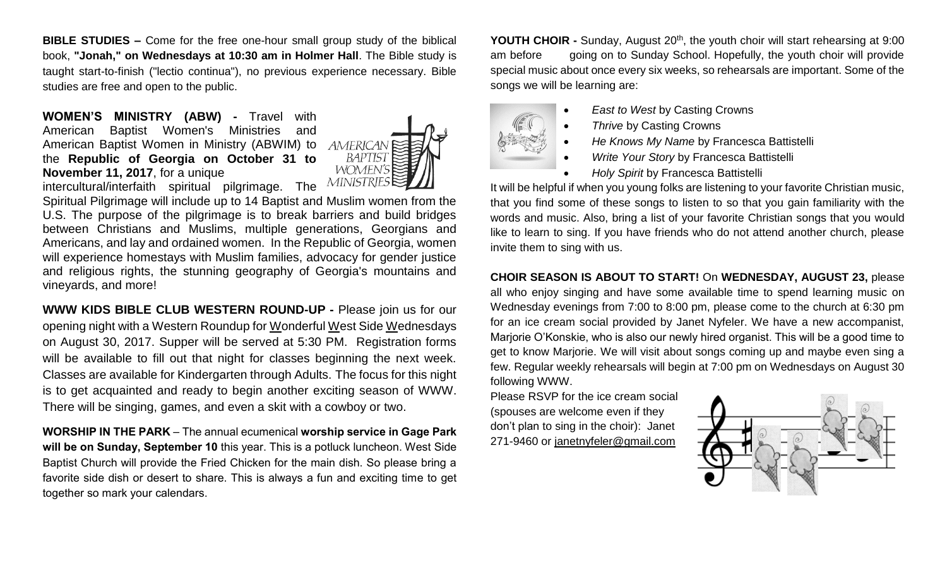**BIBLE STUDIES –** Come for the free one-hour small group study of the biblical book, **"Jonah," on Wednesdays at 10:30 am in Holmer Hall**. The Bible study is taught start-to-finish ("lectio continua"), no previous experience necessary. Bible studies are free and open to the public.

**WOMEN'S MINISTRY (ABW) -** Travel with American Baptist Women's Ministries and American Baptist Women in Ministry (ABWIM) to the **Republic of Georgia on October 31 to November 11, 2017**, for a unique



intercultural/interfaith spiritual pilgrimage. The **MINISTRIES** 

Spiritual Pilgrimage will include up to 14 Baptist and Muslim women from the U.S. The purpose of the pilgrimage is to break barriers and build bridges between Christians and Muslims, multiple generations, Georgians and Americans, and lay and ordained women. In the Republic of Georgia, women will experience homestays with Muslim families, advocacy for gender justice and religious rights, the stunning geography of Georgia's mountains and vineyards, and more!

**WWW KIDS BIBLE CLUB WESTERN ROUND-UP -** Please join us for our opening night with a Western Roundup for Wonderful West Side Wednesdays on August 30, 2017. Supper will be served at 5:30 PM. Registration forms will be available to fill out that night for classes beginning the next week. Classes are available for Kindergarten through Adults. The focus for this night is to get acquainted and ready to begin another exciting season of WWW. There will be singing, games, and even a skit with a cowboy or two.

**WORSHIP IN THE PARK** – The annual ecumenical **worship service in Gage Park will be on Sunday, September 10** this year. This is a potluck luncheon. West Side Baptist Church will provide the Fried Chicken for the main dish. So please bring a favorite side dish or desert to share. This is always a fun and exciting time to get together so mark your calendars.

**YOUTH CHOIR -** Sunday, August 20<sup>th</sup>, the youth choir will start rehearsing at 9:00 am before going on to Sunday School. Hopefully, the youth choir will provide special music about once every six weeks, so rehearsals are important. Some of the songs we will be learning are:

- *East to West* by Casting Crowns
- **Thrive by Casting Crowns**
- *He Knows My Name* by Francesca Battistelli
- *Write Your Story* by Francesca Battistelli
- *Holy Spirit* by Francesca Battistelli

It will be helpful if when you young folks are listening to your favorite Christian music, that you find some of these songs to listen to so that you gain familiarity with the words and music. Also, bring a list of your favorite Christian songs that you would like to learn to sing. If you have friends who do not attend another church, please invite them to sing with us.

#### **CHOIR SEASON IS ABOUT TO START!** On **WEDNESDAY, AUGUST 23,** please

all who enjoy singing and have some available time to spend learning music on Wednesday evenings from 7:00 to 8:00 pm, please come to the church at 6:30 pm for an ice cream social provided by Janet Nyfeler. We have a new accompanist, Marjorie O'Konskie, who is also our newly hired organist. This will be a good time to get to know Marjorie. We will visit about songs coming up and maybe even sing a few. Regular weekly rehearsals will begin at 7:00 pm on Wednesdays on August 30 following WWW.

Please RSVP for the ice cream social (spouses are welcome even if they don't plan to sing in the choir): Janet 271-9460 or [janetnyfeler@gmail.com](mailto:janetnyfeler@gmail.com)